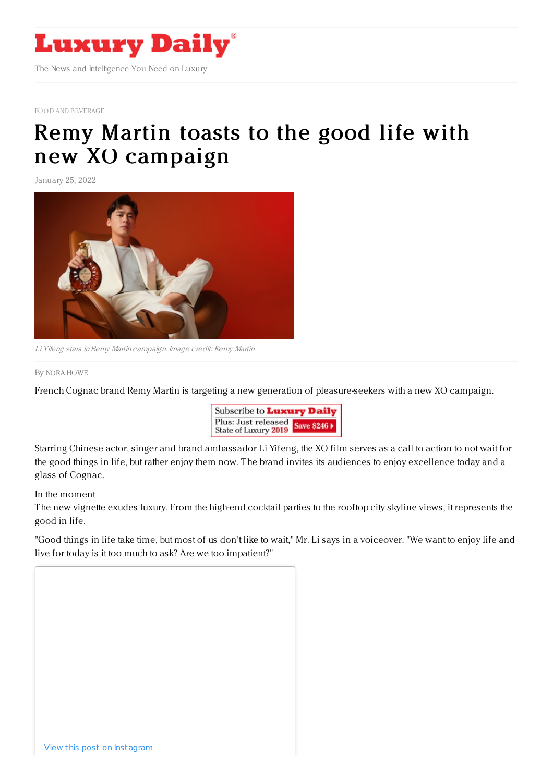

FOOD AND [BEVERAGE](https://www.luxurydaily.com/category/sectors/food-and-beverage/)

## Remy Martin toasts to the good life with new XO [campaign](https://www.luxurydaily.com/remy-martin-chinese-new-year-xo-campaign/)

January 25, 2022



Li Yifeng stars inRemy Martin campaign. Image credit: Remy Martin

## By NORA [HOWE](file:///author/nora-howe)

French Cognac brand Remy Martin is targeting a new generation of pleasure-seekers with a new XO campaign.



Starring Chinese actor, singer and brand ambassador Li Yifeng, the XO film serves as a call to action to not wait for the good things in life, but rather enjoy them now. The brand invites its audiences to enjoy excellence today and a glass of Cognac.

In the moment

The new vignette exudes luxury. From the high-end cocktail parties to the rooftop city skyline views, it represents the good in life.

"Good things in life take time, but most of us don't like to wait," Mr. Li says in a voiceover. "We want to enjoy life and live for today is it too much to ask? Are we too impatient?"

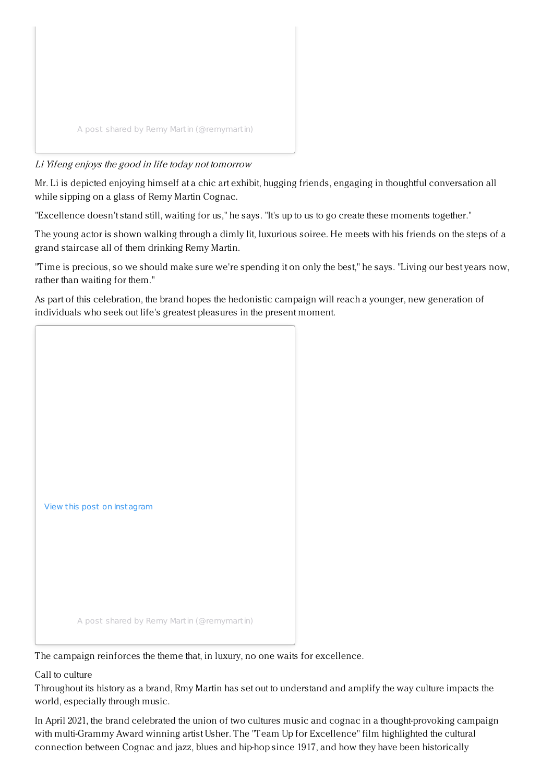

## Li Yifeng enjoys the good in life today not tomorrow

Mr. Li is depicted enjoying himself at a chic art exhibit, hugging friends, engaging in thoughtful conversation all while sipping on a glass of Remy Martin Cognac.

"Excellence doesn't stand still, waiting for us," he says. "It's up to us to go create these moments together."

The young actor is shown walking through a dimly lit, luxurious soiree. He meets with his friends on the steps of a grand staircase all of them drinking Remy Martin.

"Time is precious, so we should make sure we're spending it on only the best," he says. "Living our best years now, rather than waiting for them."

As part of this celebration, the brand hopes the hedonistic campaign will reach a younger, new generation of individuals who seek out life's greatest pleasures in the present moment.



The campaign reinforces the theme that, in luxury, no one waits for excellence.

Call to culture

Throughout its history as a brand, Rmy Martin has set out to understand and amplify the way culture impacts the world, especially through music.

In April 2021, the brand celebrated the union of two cultures music and cognac in a thought-provoking campaign with multi-Grammy Award winning artist Usher. The "Team Up for Excellence" film highlighted the cultural connection between Cognac and jazz, blues and hip-hop since 1917, and how they have been historically